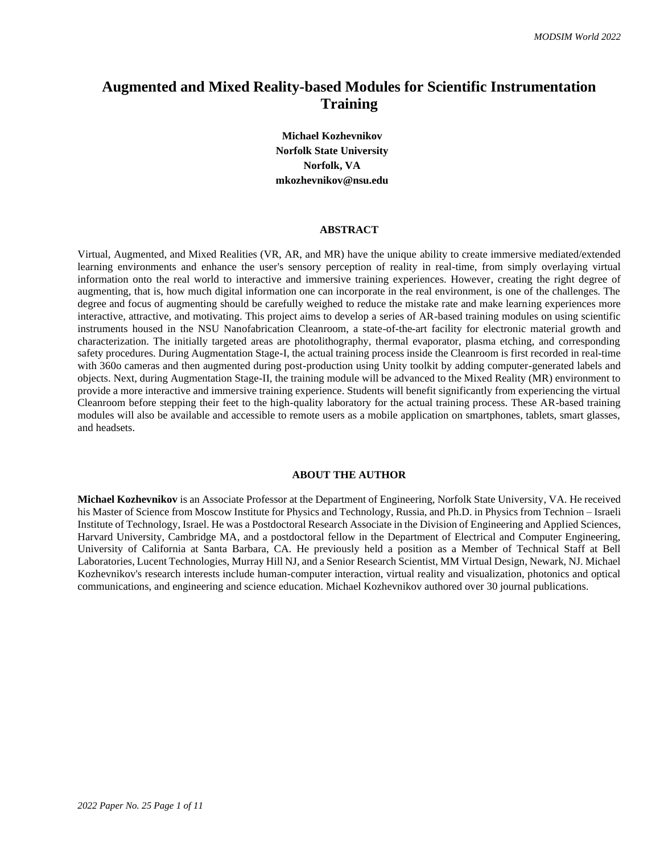# **Augmented and Mixed Reality-based Modules for Scientific Instrumentation Training**

**Michael Kozhevnikov Norfolk State University Norfolk, VA mkozhevnikov@nsu.edu**

#### **ABSTRACT**

Virtual, Augmented, and Mixed Realities (VR, AR, and MR) have the unique ability to create immersive mediated/extended learning environments and enhance the user's sensory perception of reality in real-time, from simply overlaying virtual information onto the real world to interactive and immersive training experiences. However, creating the right degree of augmenting, that is, how much digital information one can incorporate in the real environment, is one of the challenges. The degree and focus of augmenting should be carefully weighed to reduce the mistake rate and make learning experiences more interactive, attractive, and motivating. This project aims to develop a series of AR-based training modules on using scientific instruments housed in the NSU Nanofabrication Cleanroom, a state-of-the-art facility for electronic material growth and characterization. The initially targeted areas are photolithography, thermal evaporator, plasma etching, and corresponding safety procedures. During Augmentation Stage-I, the actual training process inside the Cleanroom is first recorded in real-time with 360o cameras and then augmented during post-production using Unity toolkit by adding computer-generated labels and objects. Next, during Augmentation Stage-II, the training module will be advanced to the Mixed Reality (MR) environment to provide a more interactive and immersive training experience. Students will benefit significantly from experiencing the virtual Cleanroom before stepping their feet to the high-quality laboratory for the actual training process. These AR-based training modules will also be available and accessible to remote users as a mobile application on smartphones, tablets, smart glasses, and headsets.

# **ABOUT THE AUTHOR**

**Michael Kozhevnikov** is an Associate Professor at the Department of Engineering, Norfolk State University, VA. He received his Master of Science from Moscow Institute for Physics and Technology, Russia, and Ph.D. in Physics from Technion – Israeli Institute of Technology, Israel. He was a Postdoctoral Research Associate in the Division of Engineering and Applied Sciences, Harvard University, Cambridge MA, and a postdoctoral fellow in the Department of Electrical and Computer Engineering, University of California at Santa Barbara, CA. He previously held a position as a Member of Technical Staff at Bell Laboratories, Lucent Technologies, Murray Hill NJ, and a Senior Research Scientist, MM Virtual Design, Newark, NJ. Michael Kozhevnikov's research interests include human-computer interaction, virtual reality and visualization, photonics and optical communications, and engineering and science education. Michael Kozhevnikov authored over 30 journal publications.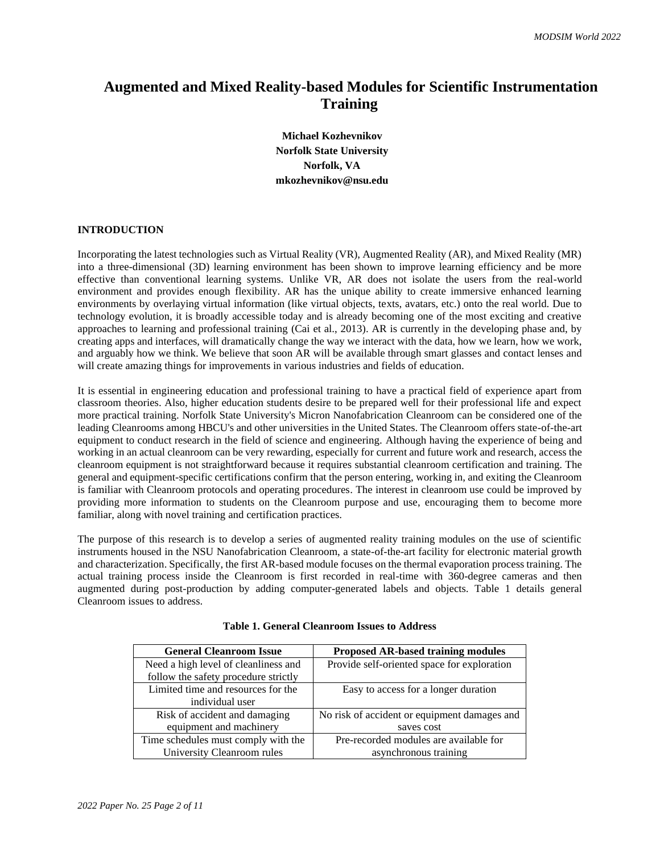# **Augmented and Mixed Reality-based Modules for Scientific Instrumentation Training**

**Michael Kozhevnikov Norfolk State University Norfolk, VA mkozhevnikov@nsu.edu**

# **INTRODUCTION**

Incorporating the latest technologies such as Virtual Reality (VR), Augmented Reality (AR), and Mixed Reality (MR) into a three-dimensional (3D) learning environment has been shown to improve learning efficiency and be more effective than conventional learning systems. Unlike VR, AR does not isolate the users from the real-world environment and provides enough flexibility. AR has the unique ability to create immersive enhanced learning environments by overlaying virtual information (like virtual objects, texts, avatars, etc.) onto the real world. Due to technology evolution, it is broadly accessible today and is already becoming one of the most exciting and creative approaches to learning and professional training (Cai et al., 2013). AR is currently in the developing phase and, by creating apps and interfaces, will dramatically change the way we interact with the data, how we learn, how we work, and arguably how we think. We believe that soon AR will be available through smart glasses and contact lenses and will create amazing things for improvements in various industries and fields of education.

It is essential in engineering education and professional training to have a practical field of experience apart from classroom theories. Also, higher education students desire to be prepared well for their professional life and expect more practical training. Norfolk State University's Micron Nanofabrication Cleanroom can be considered one of the leading Cleanrooms among HBCU's and other universities in the United States. The Cleanroom offers state-of-the-art equipment to conduct research in the field of science and engineering. Although having the experience of being and working in an actual cleanroom can be very rewarding, especially for current and future work and research, access the cleanroom equipment is not straightforward because it requires substantial cleanroom certification and training. The general and equipment-specific certifications confirm that the person entering, working in, and exiting the Cleanroom is familiar with Cleanroom protocols and operating procedures. The interest in cleanroom use could be improved by providing more information to students on the Cleanroom purpose and use, encouraging them to become more familiar, along with novel training and certification practices.

The purpose of this research is to develop a series of augmented reality training modules on the use of scientific instruments housed in the NSU Nanofabrication Cleanroom, a state-of-the-art facility for electronic material growth and characterization. Specifically, the first AR-based module focuses on the thermal evaporation process training. The actual training process inside the Cleanroom is first recorded in real-time with 360-degree cameras and then augmented during post-production by adding computer-generated labels and objects. Table 1 details general Cleanroom issues to address.

| <b>General Cleanroom Issue</b>       | <b>Proposed AR-based training modules</b>    |
|--------------------------------------|----------------------------------------------|
| Need a high level of cleanliness and | Provide self-oriented space for exploration  |
| follow the safety procedure strictly |                                              |
| Limited time and resources for the   | Easy to access for a longer duration         |
| individual user                      |                                              |
| Risk of accident and damaging        | No risk of accident or equipment damages and |
| equipment and machinery              | saves cost                                   |
| Time schedules must comply with the  | Pre-recorded modules are available for       |
| University Cleanroom rules           | asynchronous training                        |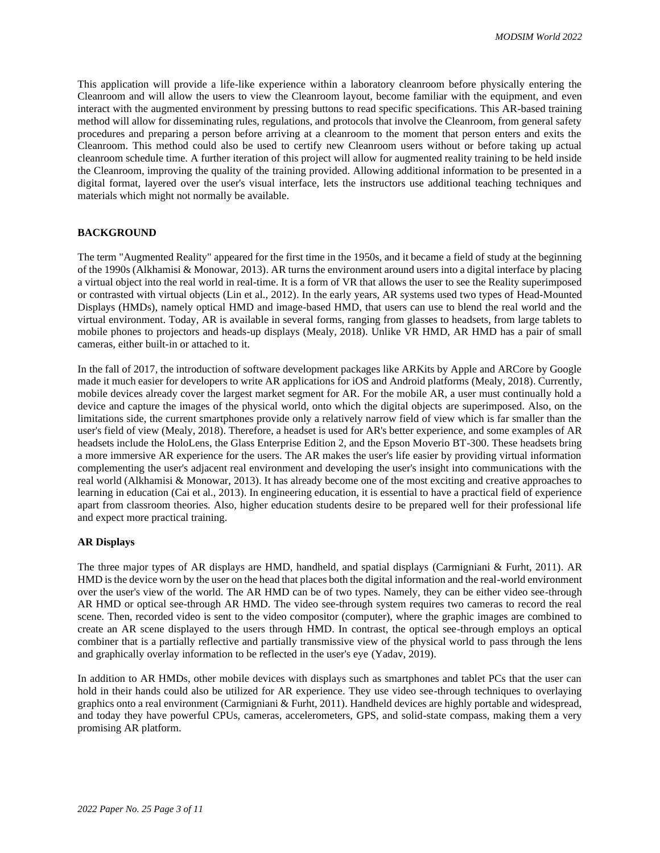This application will provide a life-like experience within a laboratory cleanroom before physically entering the Cleanroom and will allow the users to view the Cleanroom layout, become familiar with the equipment, and even interact with the augmented environment by pressing buttons to read specific specifications. This AR-based training method will allow for disseminating rules, regulations, and protocols that involve the Cleanroom, from general safety procedures and preparing a person before arriving at a cleanroom to the moment that person enters and exits the Cleanroom. This method could also be used to certify new Cleanroom users without or before taking up actual cleanroom schedule time. A further iteration of this project will allow for augmented reality training to be held inside the Cleanroom, improving the quality of the training provided. Allowing additional information to be presented in a digital format, layered over the user's visual interface, lets the instructors use additional teaching techniques and materials which might not normally be available.

## **BACKGROUND**

The term "Augmented Reality" appeared for the first time in the 1950s, and it became a field of study at the beginning of the 1990s (Alkhamisi & Monowar, 2013). AR turns the environment around users into a digital interface by placing a virtual object into the real world in real-time. It is a form of VR that allows the user to see the Reality superimposed or contrasted with virtual objects (Lin et al., 2012). In the early years, AR systems used two types of Head-Mounted Displays (HMDs), namely optical HMD and image-based HMD, that users can use to blend the real world and the virtual environment. Today, AR is available in several forms, ranging from glasses to headsets, from large tablets to mobile phones to projectors and heads-up displays (Mealy, 2018). Unlike VR HMD, AR HMD has a pair of small cameras, either built-in or attached to it.

In the fall of 2017, the introduction of software development packages like ARKits by Apple and ARCore by Google made it much easier for developers to write AR applications for iOS and Android platforms (Mealy, 2018). Currently, mobile devices already cover the largest market segment for AR. For the mobile AR, a user must continually hold a device and capture the images of the physical world, onto which the digital objects are superimposed. Also, on the limitations side, the current smartphones provide only a relatively narrow field of view which is far smaller than the user's field of view (Mealy, 2018). Therefore, a headset is used for AR's better experience, and some examples of AR headsets include the HoloLens, the Glass Enterprise Edition 2, and the Epson Moverio BT-300. These headsets bring a more immersive AR experience for the users. The AR makes the user's life easier by providing virtual information complementing the user's adjacent real environment and developing the user's insight into communications with the real world (Alkhamisi & Monowar, 2013). It has already become one of the most exciting and creative approaches to learning in education (Cai et al., 2013). In engineering education, it is essential to have a practical field of experience apart from classroom theories. Also, higher education students desire to be prepared well for their professional life and expect more practical training.

#### **AR Displays**

The three major types of AR displays are HMD, handheld, and spatial displays (Carmigniani & Furht, 2011). AR HMD is the device worn by the user on the head that places both the digital information and the real-world environment over the user's view of the world. The AR HMD can be of two types. Namely, they can be either video see-through AR HMD or optical see-through AR HMD. The video see-through system requires two cameras to record the real scene. Then, recorded video is sent to the video compositor (computer), where the graphic images are combined to create an AR scene displayed to the users through HMD. In contrast, the optical see-through employs an optical combiner that is a partially reflective and partially transmissive view of the physical world to pass through the lens and graphically overlay information to be reflected in the user's eye (Yadav, 2019).

In addition to AR HMDs, other mobile devices with displays such as smartphones and tablet PCs that the user can hold in their hands could also be utilized for AR experience. They use video see-through techniques to overlaying graphics onto a real environment (Carmigniani & Furht, 2011). Handheld devices are highly portable and widespread, and today they have powerful CPUs, cameras, accelerometers, GPS, and solid-state compass, making them a very promising AR platform.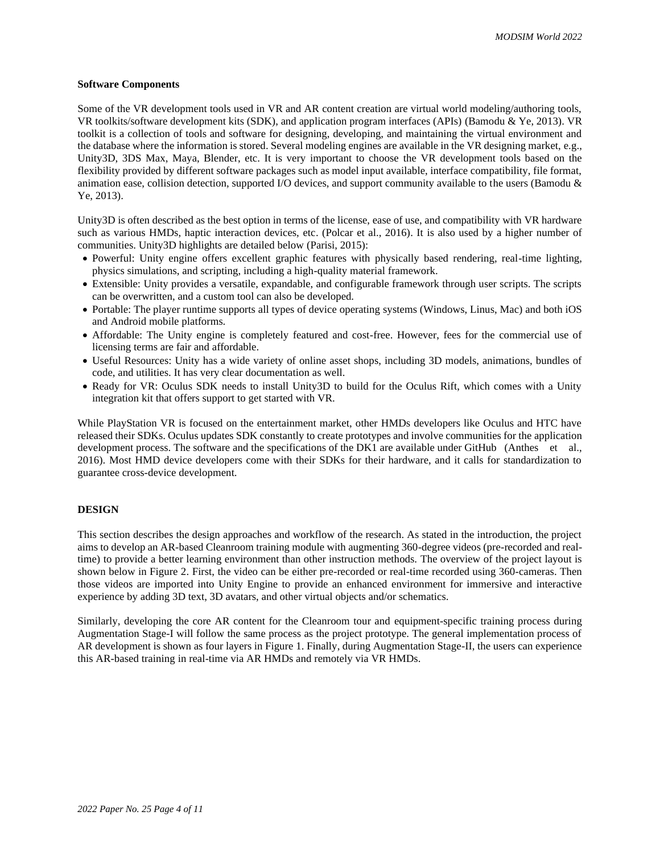#### **Software Components**

Some of the VR development tools used in VR and AR content creation are virtual world modeling/authoring tools, VR toolkits/software development kits (SDK), and application program interfaces (APIs) (Bamodu & Ye, 2013). VR toolkit is a collection of tools and software for designing, developing, and maintaining the virtual environment and the database where the information is stored. Several modeling engines are available in the VR designing market, e.g., Unity3D, 3DS Max, Maya, Blender, etc. It is very important to choose the VR development tools based on the flexibility provided by different software packages such as model input available, interface compatibility, file format, animation ease, collision detection, supported I/O devices, and support community available to the users (Bamodu & Ye, 2013).

Unity3D is often described as the best option in terms of the license, ease of use, and compatibility with VR hardware such as various HMDs, haptic interaction devices, etc. (Polcar et al., 2016). It is also used by a higher number of communities. Unity3D highlights are detailed below (Parisi, 2015):

- Powerful: Unity engine offers excellent graphic features with physically based rendering, real-time lighting, physics simulations, and scripting, including a high-quality material framework.
- Extensible: Unity provides a versatile, expandable, and configurable framework through user scripts. The scripts can be overwritten, and a custom tool can also be developed.
- Portable: The player runtime supports all types of device operating systems (Windows, Linus, Mac) and both iOS and Android mobile platforms.
- Affordable: The Unity engine is completely featured and cost-free. However, fees for the commercial use of licensing terms are fair and affordable.
- Useful Resources: Unity has a wide variety of online asset shops, including 3D models, animations, bundles of code, and utilities. It has very clear documentation as well.
- Ready for VR: Oculus SDK needs to install Unity3D to build for the Oculus Rift, which comes with a Unity integration kit that offers support to get started with VR.

While PlayStation VR is focused on the entertainment market, other HMDs developers like Oculus and HTC have released their SDKs. Oculus updates SDK constantly to create prototypes and involve communities for the application development process. The software and the specifications of the DK1 are available under GitHub (Anthes et al., 2016). Most HMD device developers come with their SDKs for their hardware, and it calls for standardization to guarantee cross-device development.

# **DESIGN**

This section describes the design approaches and workflow of the research. As stated in the introduction, the project aims to develop an AR-based Cleanroom training module with augmenting 360-degree videos (pre-recorded and realtime) to provide a better learning environment than other instruction methods. The overview of the project layout is shown below in Figure 2. First, the video can be either pre-recorded or real-time recorded using 360-cameras. Then those videos are imported into Unity Engine to provide an enhanced environment for immersive and interactive experience by adding 3D text, 3D avatars, and other virtual objects and/or schematics.

Similarly, developing the core AR content for the Cleanroom tour and equipment-specific training process during Augmentation Stage-I will follow the same process as the project prototype. The general implementation process of AR development is shown as four layers in Figure 1. Finally, during Augmentation Stage-II, the users can experience this AR-based training in real-time via AR HMDs and remotely via VR HMDs.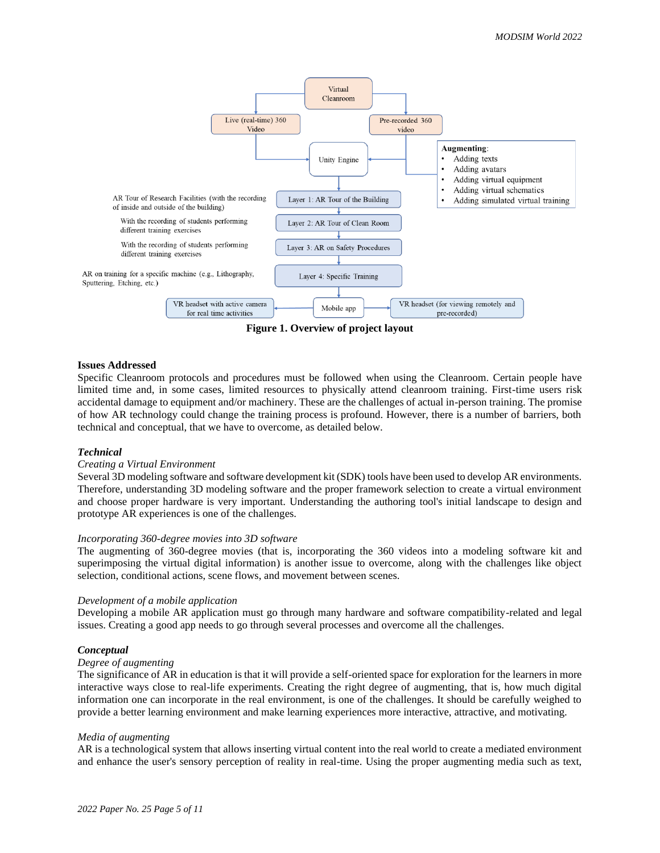

**Figure 1. Overview of project layout**

#### **Issues Addressed**

Specific Cleanroom protocols and procedures must be followed when using the Cleanroom. Certain people have limited time and, in some cases, limited resources to physically attend cleanroom training. First-time users risk accidental damage to equipment and/or machinery. These are the challenges of actual in-person training. The promise of how AR technology could change the training process is profound. However, there is a number of barriers, both technical and conceptual, that we have to overcome, as detailed below.

#### *Technical*

# *Creating a Virtual Environment*

Several 3D modeling software and software development kit (SDK) tools have been used to develop AR environments. Therefore, understanding 3D modeling software and the proper framework selection to create a virtual environment and choose proper hardware is very important. Understanding the authoring tool's initial landscape to design and prototype AR experiences is one of the challenges.

#### *Incorporating 360-degree movies into 3D software*

The augmenting of 360-degree movies (that is, incorporating the 360 videos into a modeling software kit and superimposing the virtual digital information) is another issue to overcome, along with the challenges like object selection, conditional actions, scene flows, and movement between scenes.

#### *Development of a mobile application*

Developing a mobile AR application must go through many hardware and software compatibility-related and legal issues. Creating a good app needs to go through several processes and overcome all the challenges.

#### *Conceptual*

# *Degree of augmenting*

The significance of AR in education is that it will provide a self-oriented space for exploration for the learners in more interactive ways close to real-life experiments. Creating the right degree of augmenting, that is, how much digital information one can incorporate in the real environment, is one of the challenges. It should be carefully weighed to provide a better learning environment and make learning experiences more interactive, attractive, and motivating.

#### *Media of augmenting*

AR is a technological system that allows inserting virtual content into the real world to create a mediated environment and enhance the user's sensory perception of reality in real-time. Using the proper augmenting media such as text,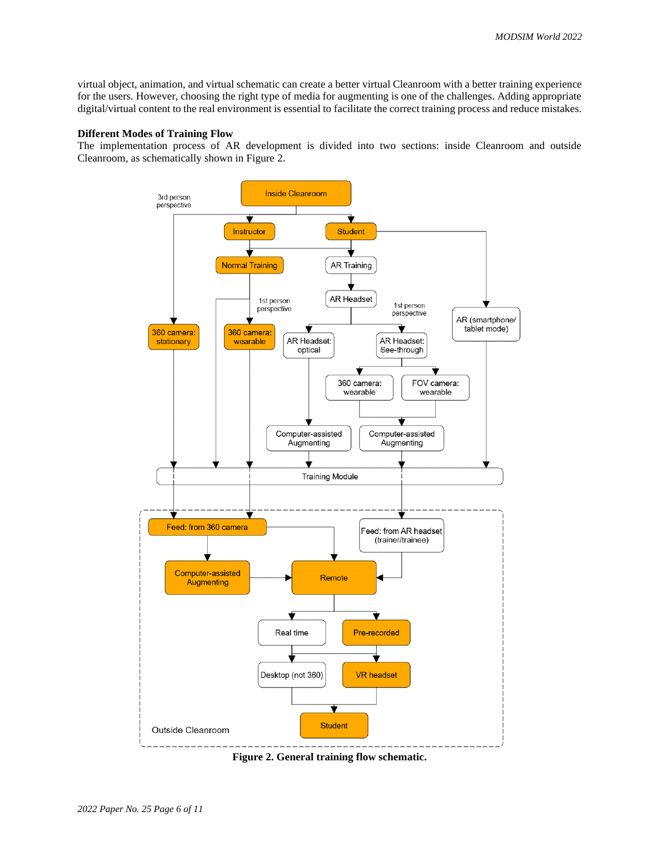virtual object, animation, and virtual schematic can create a better virtual Cleanroom with a better training experience for the users. However, choosing the right type of media for augmenting is one of the challenges. Adding appropriate digital/virtual content to the real environment is essential to facilitate the correct training process and reduce mistakes.

## **Different Modes of Training Flow**

The implementation process of AR development is divided into two sections: inside Cleanroom and outside Cleanroom, as schematically shown in Figure 2.



**Figure 2. General training flow schematic.**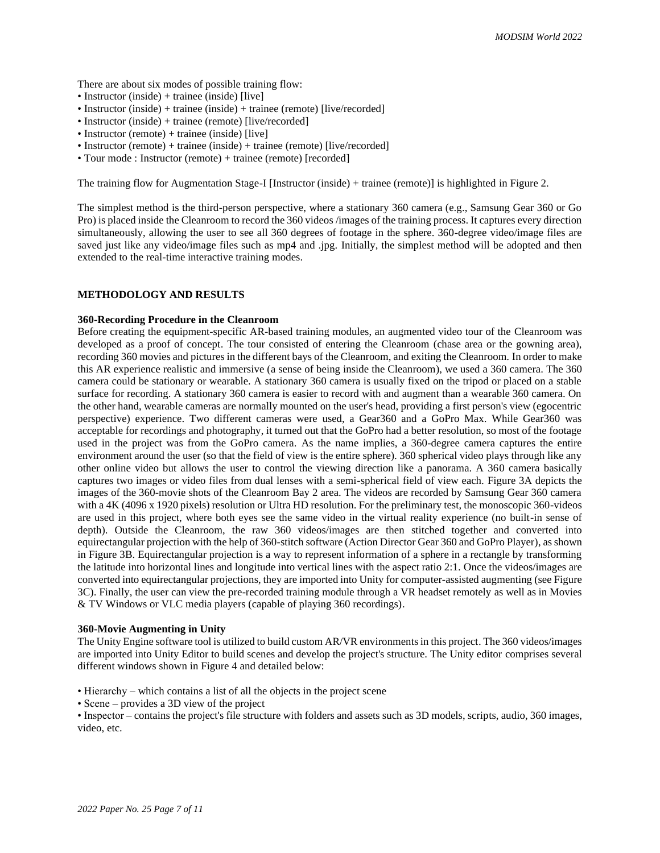There are about six modes of possible training flow:

- Instructor (inside) + trainee (inside) [live]
- Instructor (inside) + trainee (inside) + trainee (remote) [live/recorded]
- Instructor (inside) + trainee (remote) [live/recorded]
- Instructor (remote) + trainee (inside) [live]
- Instructor (remote) + trainee (inside) + trainee (remote) [live/recorded]
- Tour mode : Instructor (remote) + trainee (remote) [recorded]

The training flow for Augmentation Stage-I [Instructor (inside) + trainee (remote)] is highlighted in Figure 2.

The simplest method is the third-person perspective, where a stationary 360 camera (e.g., Samsung Gear 360 or Go Pro) is placed inside the Cleanroom to record the 360 videos /images of the training process. It captures every direction simultaneously, allowing the user to see all 360 degrees of footage in the sphere. 360-degree video/image files are saved just like any video/image files such as mp4 and .jpg. Initially, the simplest method will be adopted and then extended to the real-time interactive training modes.

# **METHODOLOGY AND RESULTS**

#### **360-Recording Procedure in the Cleanroom**

Before creating the equipment-specific AR-based training modules, an augmented video tour of the Cleanroom was developed as a proof of concept. The tour consisted of entering the Cleanroom (chase area or the gowning area), recording 360 movies and pictures in the different bays of the Cleanroom, and exiting the Cleanroom. In order to make this AR experience realistic and immersive (a sense of being inside the Cleanroom), we used a 360 camera. The 360 camera could be stationary or wearable. A stationary 360 camera is usually fixed on the tripod or placed on a stable surface for recording. A stationary 360 camera is easier to record with and augment than a wearable 360 camera. On the other hand, wearable cameras are normally mounted on the user's head, providing a first person's view (egocentric perspective) experience. Two different cameras were used, a Gear360 and a GoPro Max. While Gear360 was acceptable for recordings and photography, it turned out that the GoPro had a better resolution, so most of the footage used in the project was from the GoPro camera. As the name implies, a 360-degree camera captures the entire environment around the user (so that the field of view is the entire sphere). 360 spherical video plays through like any other online video but allows the user to control the viewing direction like a panorama. A 360 camera basically captures two images or video files from dual lenses with a semi-spherical field of view each. Figure 3A depicts the images of the 360-movie shots of the Cleanroom Bay 2 area. The videos are recorded by Samsung Gear 360 camera with a 4K (4096 x 1920 pixels) resolution or Ultra HD resolution. For the preliminary test, the monoscopic 360-videos are used in this project, where both eyes see the same video in the virtual reality experience (no built-in sense of depth). Outside the Cleanroom, the raw 360 videos/images are then stitched together and converted into equirectangular projection with the help of 360-stitch software (Action Director Gear 360 and GoPro Player), as shown in Figure 3B. Equirectangular projection is a way to represent information of a sphere in a rectangle by transforming the latitude into horizontal lines and longitude into vertical lines with the aspect ratio 2:1. Once the videos/images are converted into equirectangular projections, they are imported into Unity for computer-assisted augmenting (see Figure 3C). Finally, the user can view the pre-recorded training module through a VR headset remotely as well as in Movies & TV Windows or VLC media players (capable of playing 360 recordings).

#### **360-Movie Augmenting in Unity**

The Unity Engine software tool is utilized to build custom AR/VR environments in this project. The 360 videos/images are imported into Unity Editor to build scenes and develop the project's structure. The Unity editor comprises several different windows shown in Figure 4 and detailed below:

- Hierarchy which contains a list of all the objects in the project scene
- Scene provides a 3D view of the project

• Inspector – contains the project's file structure with folders and assets such as 3D models, scripts, audio, 360 images, video, etc.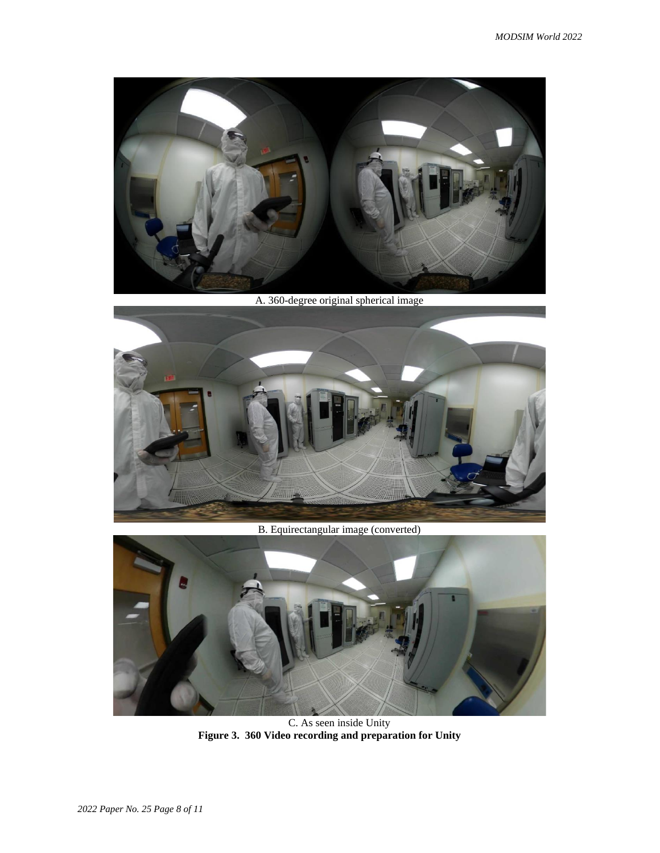

A. 360-degree original spherical image



B. Equirectangular image (converted)



C. As seen inside Unity **Figure 3. 360 Video recording and preparation for Unity**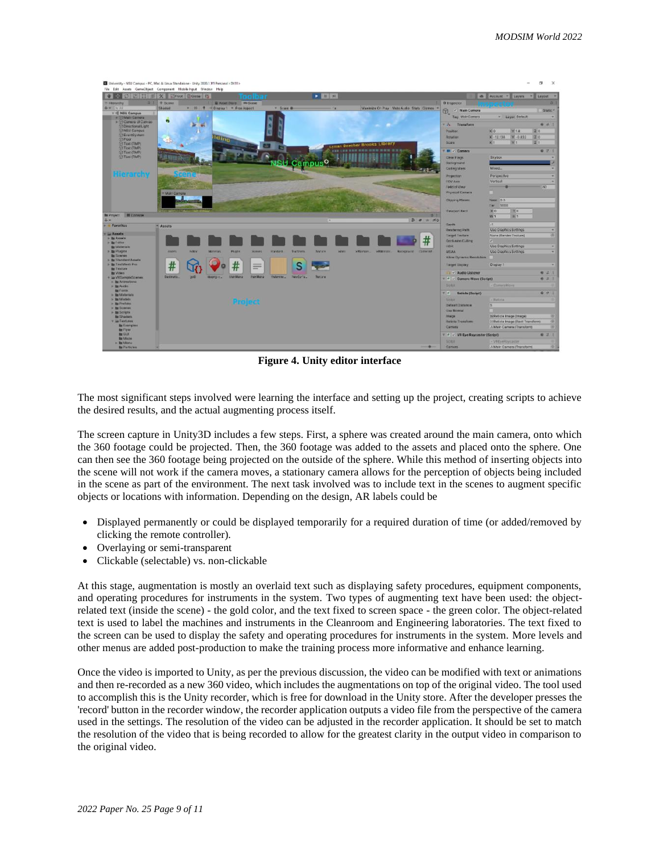

**Figure 4. Unity editor interface**

The most significant steps involved were learning the interface and setting up the project, creating scripts to achieve the desired results, and the actual augmenting process itself.

The screen capture in Unity3D includes a few steps. First, a sphere was created around the main camera, onto which the 360 footage could be projected. Then, the 360 footage was added to the assets and placed onto the sphere. One can then see the 360 footage being projected on the outside of the sphere. While this method of inserting objects into the scene will not work if the camera moves, a stationary camera allows for the perception of objects being included in the scene as part of the environment. The next task involved was to include text in the scenes to augment specific objects or locations with information. Depending on the design, AR labels could be

- Displayed permanently or could be displayed temporarily for a required duration of time (or added/removed by clicking the remote controller).
- Overlaying or semi-transparent
- Clickable (selectable) vs. non-clickable

At this stage, augmentation is mostly an overlaid text such as displaying safety procedures, equipment components, and operating procedures for instruments in the system. Two types of augmenting text have been used: the objectrelated text (inside the scene) - the gold color, and the text fixed to screen space - the green color. The object-related text is used to label the machines and instruments in the Cleanroom and Engineering laboratories. The text fixed to the screen can be used to display the safety and operating procedures for instruments in the system. More levels and other menus are added post-production to make the training process more informative and enhance learning.

Once the video is imported to Unity, as per the previous discussion, the video can be modified with text or animations and then re-recorded as a new 360 video, which includes the augmentations on top of the original video. The tool used to accomplish this is the Unity recorder, which is free for download in the Unity store. After the developer presses the 'record' button in the recorder window, the recorder application outputs a video file from the perspective of the camera used in the settings. The resolution of the video can be adjusted in the recorder application. It should be set to match the resolution of the video that is being recorded to allow for the greatest clarity in the output video in comparison to the original video.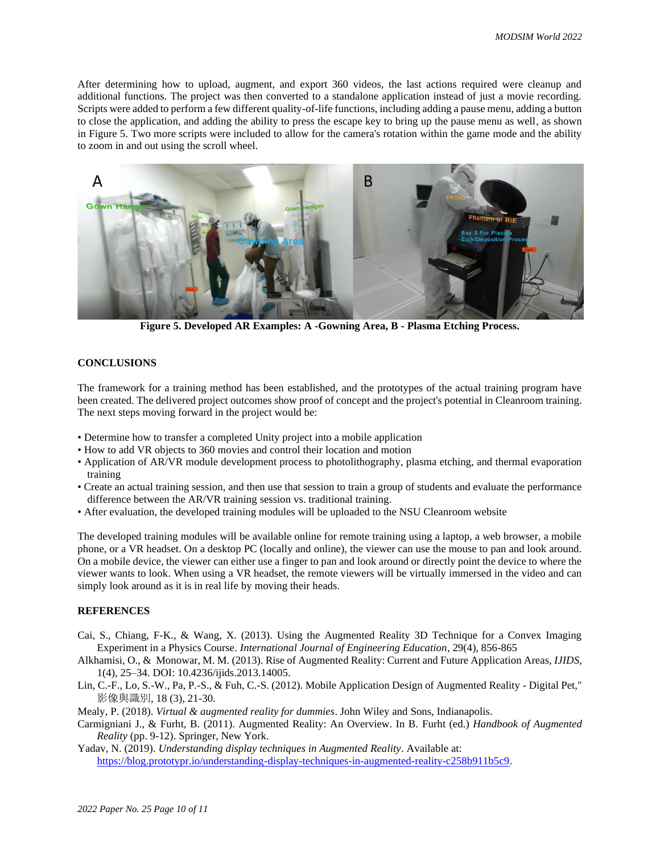After determining how to upload, augment, and export 360 videos, the last actions required were cleanup and additional functions. The project was then converted to a standalone application instead of just a movie recording. Scripts were added to perform a few different quality-of-life functions, including adding a pause menu, adding a button to close the application, and adding the ability to press the escape key to bring up the pause menu as well, as shown in Figure 5. Two more scripts were included to allow for the camera's rotation within the game mode and the ability to zoom in and out using the scroll wheel.



**Figure 5. Developed AR Examples: A -Gowning Area, B - Plasma Etching Process.**

# **CONCLUSIONS**

The framework for a training method has been established, and the prototypes of the actual training program have been created. The delivered project outcomes show proof of concept and the project's potential in Cleanroom training. The next steps moving forward in the project would be:

- Determine how to transfer a completed Unity project into a mobile application
- How to add VR objects to 360 movies and control their location and motion
- Application of AR/VR module development process to photolithography, plasma etching, and thermal evaporation training
- Create an actual training session, and then use that session to train a group of students and evaluate the performance difference between the AR/VR training session vs. traditional training.
- After evaluation, the developed training modules will be uploaded to the NSU Cleanroom website

The developed training modules will be available online for remote training using a laptop, a web browser, a mobile phone, or a VR headset. On a desktop PC (locally and online), the viewer can use the mouse to pan and look around. On a mobile device, the viewer can either use a finger to pan and look around or directly point the device to where the viewer wants to look. When using a VR headset, the remote viewers will be virtually immersed in the video and can simply look around as it is in real life by moving their heads.

# **REFERENCES**

- Cai, S., Chiang, F-K., & Wang, X. (2013). Using the Augmented Reality 3D Technique for a Convex Imaging Experiment in a Physics Course. *International Journal of Engineering Education*, 29(4), 856-865
- Alkhamisi, O., & Monowar, M. M. (2013). Rise of Augmented Reality: Current and Future Application Areas, *IJIDS*, 1(4), 25–34. DOI: 10.4236/ijids.2013.14005.
- Lin, C.-F., Lo, S.-W., Pa, P.-S., & Fuh, C.-S. (2012). Mobile Application Design of Augmented Reality Digital Pet," 影像與識別, 18 (3), 21-30.
- Mealy, P. (2018). *Virtual & augmented reality for dummies*. John Wiley and Sons, Indianapolis.
- Carmigniani J., & Furht, B. (2011). Augmented Reality: An Overview. In B. Furht (ed.) *Handbook of Augmented Reality* (pp. 9-12). Springer, New York.
- Yadav, N. (2019). *Understanding display techniques in Augmented Reality*. Available at: [https://blog.prototypr.io/understanding-display-techniques-in-augmented-reality-c258b911b5c9.](https://blog.prototypr.io/understanding-display-techniques-in-augmented-reality-c258b911b5c9)